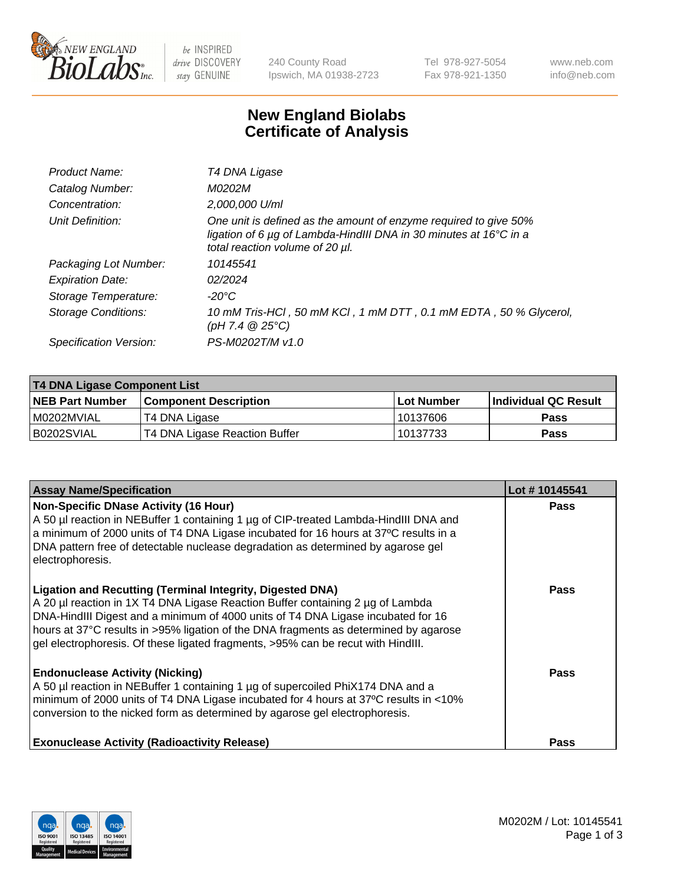

 $be$  INSPIRED drive DISCOVERY stay GENUINE

240 County Road Ipswich, MA 01938-2723 Tel 978-927-5054 Fax 978-921-1350 www.neb.com info@neb.com

## **New England Biolabs Certificate of Analysis**

| Product Name:           | T4 DNA Ligase                                                                                                                                                            |
|-------------------------|--------------------------------------------------------------------------------------------------------------------------------------------------------------------------|
| Catalog Number:         | M0202M                                                                                                                                                                   |
| Concentration:          | 2,000,000 U/ml                                                                                                                                                           |
| Unit Definition:        | One unit is defined as the amount of enzyme required to give 50%<br>ligation of 6 µg of Lambda-HindIII DNA in 30 minutes at 16°C in a<br>total reaction volume of 20 µl. |
| Packaging Lot Number:   | 10145541                                                                                                                                                                 |
| <b>Expiration Date:</b> | 02/2024                                                                                                                                                                  |
| Storage Temperature:    | $-20^{\circ}$ C                                                                                                                                                          |
| Storage Conditions:     | 10 mM Tris-HCl, 50 mM KCl, 1 mM DTT, 0.1 mM EDTA, 50 % Glycerol,<br>$(pH 7.4 \ @ 25^{\circ}C)$                                                                           |
| Specification Version:  | PS-M0202T/M v1.0                                                                                                                                                         |

| <b>T4 DNA Ligase Component List</b> |                               |             |                       |  |
|-------------------------------------|-------------------------------|-------------|-----------------------|--|
| <b>NEB Part Number</b>              | l Component Description       | ⊺Lot Number | ∣Individual QC Result |  |
| M0202MVIAL                          | T4 DNA Ligase                 | 10137606    | <b>Pass</b>           |  |
| B0202SVIAL                          | T4 DNA Ligase Reaction Buffer | 10137733    | <b>Pass</b>           |  |

| <b>Assay Name/Specification</b>                                                                                                                                                                                                                                                                                                                                                                                    | Lot #10145541 |
|--------------------------------------------------------------------------------------------------------------------------------------------------------------------------------------------------------------------------------------------------------------------------------------------------------------------------------------------------------------------------------------------------------------------|---------------|
| <b>Non-Specific DNase Activity (16 Hour)</b><br>A 50 µl reaction in NEBuffer 1 containing 1 µg of CIP-treated Lambda-HindIII DNA and<br>a minimum of 2000 units of T4 DNA Ligase incubated for 16 hours at 37°C results in a<br>DNA pattern free of detectable nuclease degradation as determined by agarose gel<br>electrophoresis.                                                                               | <b>Pass</b>   |
| <b>Ligation and Recutting (Terminal Integrity, Digested DNA)</b><br>A 20 µl reaction in 1X T4 DNA Ligase Reaction Buffer containing 2 µg of Lambda<br>DNA-HindIII Digest and a minimum of 4000 units of T4 DNA Ligase incubated for 16<br>hours at 37°C results in >95% ligation of the DNA fragments as determined by agarose<br>gel electrophoresis. Of these ligated fragments, >95% can be recut with HindIII. | Pass          |
| <b>Endonuclease Activity (Nicking)</b><br>A 50 µl reaction in NEBuffer 1 containing 1 µg of supercoiled PhiX174 DNA and a<br>minimum of 2000 units of T4 DNA Ligase incubated for 4 hours at 37°C results in <10%<br>conversion to the nicked form as determined by agarose gel electrophoresis.                                                                                                                   | Pass          |
| <b>Exonuclease Activity (Radioactivity Release)</b>                                                                                                                                                                                                                                                                                                                                                                | Pass          |

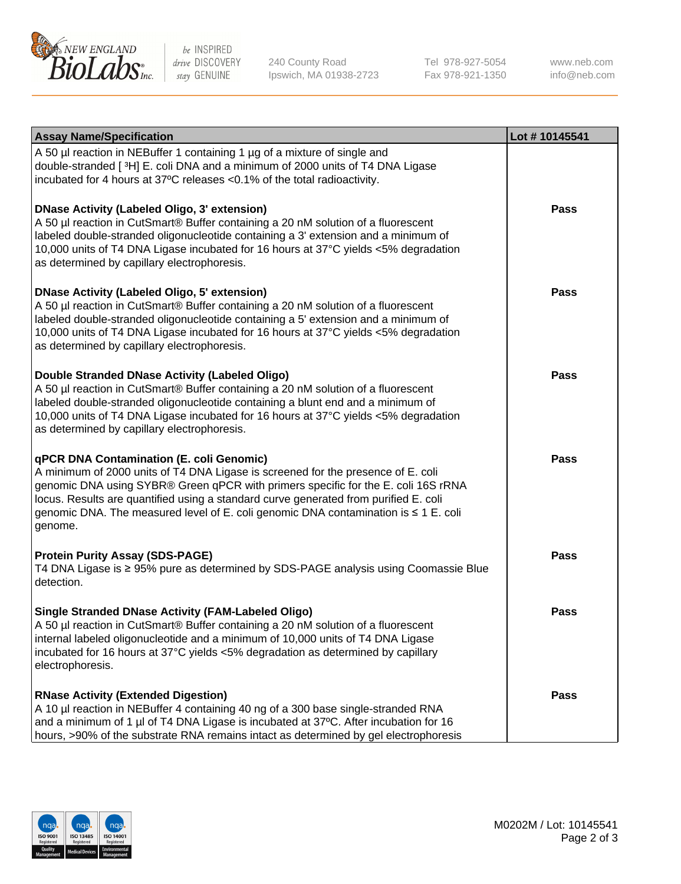

be INSPIRED drive DISCOVERY stay GENUINE

240 County Road Ipswich, MA 01938-2723 Tel 978-927-5054 Fax 978-921-1350 www.neb.com info@neb.com

| <b>Assay Name/Specification</b>                                                                                                                                                                                                                                                                                                                                                                             | Lot #10145541 |
|-------------------------------------------------------------------------------------------------------------------------------------------------------------------------------------------------------------------------------------------------------------------------------------------------------------------------------------------------------------------------------------------------------------|---------------|
| A 50 µl reaction in NEBuffer 1 containing 1 µg of a mixture of single and<br>double-stranded [3H] E. coli DNA and a minimum of 2000 units of T4 DNA Ligase<br>incubated for 4 hours at 37°C releases <0.1% of the total radioactivity.                                                                                                                                                                      |               |
| <b>DNase Activity (Labeled Oligo, 3' extension)</b><br>A 50 µl reaction in CutSmart® Buffer containing a 20 nM solution of a fluorescent<br>labeled double-stranded oligonucleotide containing a 3' extension and a minimum of<br>10,000 units of T4 DNA Ligase incubated for 16 hours at 37°C yields <5% degradation<br>as determined by capillary electrophoresis.                                        | Pass          |
| <b>DNase Activity (Labeled Oligo, 5' extension)</b><br>A 50 µl reaction in CutSmart® Buffer containing a 20 nM solution of a fluorescent<br>labeled double-stranded oligonucleotide containing a 5' extension and a minimum of<br>10,000 units of T4 DNA Ligase incubated for 16 hours at 37°C yields <5% degradation<br>as determined by capillary electrophoresis.                                        | <b>Pass</b>   |
| Double Stranded DNase Activity (Labeled Oligo)<br>A 50 µl reaction in CutSmart® Buffer containing a 20 nM solution of a fluorescent<br>labeled double-stranded oligonucleotide containing a blunt end and a minimum of<br>10,000 units of T4 DNA Ligase incubated for 16 hours at 37°C yields <5% degradation<br>as determined by capillary electrophoresis.                                                | Pass          |
| qPCR DNA Contamination (E. coli Genomic)<br>A minimum of 2000 units of T4 DNA Ligase is screened for the presence of E. coli<br>genomic DNA using SYBR® Green qPCR with primers specific for the E. coli 16S rRNA<br>locus. Results are quantified using a standard curve generated from purified E. coli<br>genomic DNA. The measured level of E. coli genomic DNA contamination is ≤ 1 E. coli<br>genome. | <b>Pass</b>   |
| <b>Protein Purity Assay (SDS-PAGE)</b><br>T4 DNA Ligase is ≥ 95% pure as determined by SDS-PAGE analysis using Coomassie Blue<br>detection.                                                                                                                                                                                                                                                                 | <b>Pass</b>   |
| <b>Single Stranded DNase Activity (FAM-Labeled Oligo)</b><br>A 50 µl reaction in CutSmart® Buffer containing a 20 nM solution of a fluorescent<br>internal labeled oligonucleotide and a minimum of 10,000 units of T4 DNA Ligase<br>incubated for 16 hours at 37°C yields <5% degradation as determined by capillary<br>electrophoresis.                                                                   | Pass          |
| <b>RNase Activity (Extended Digestion)</b><br>A 10 µl reaction in NEBuffer 4 containing 40 ng of a 300 base single-stranded RNA<br>and a minimum of 1 µl of T4 DNA Ligase is incubated at 37°C. After incubation for 16<br>hours, >90% of the substrate RNA remains intact as determined by gel electrophoresis                                                                                             | Pass          |